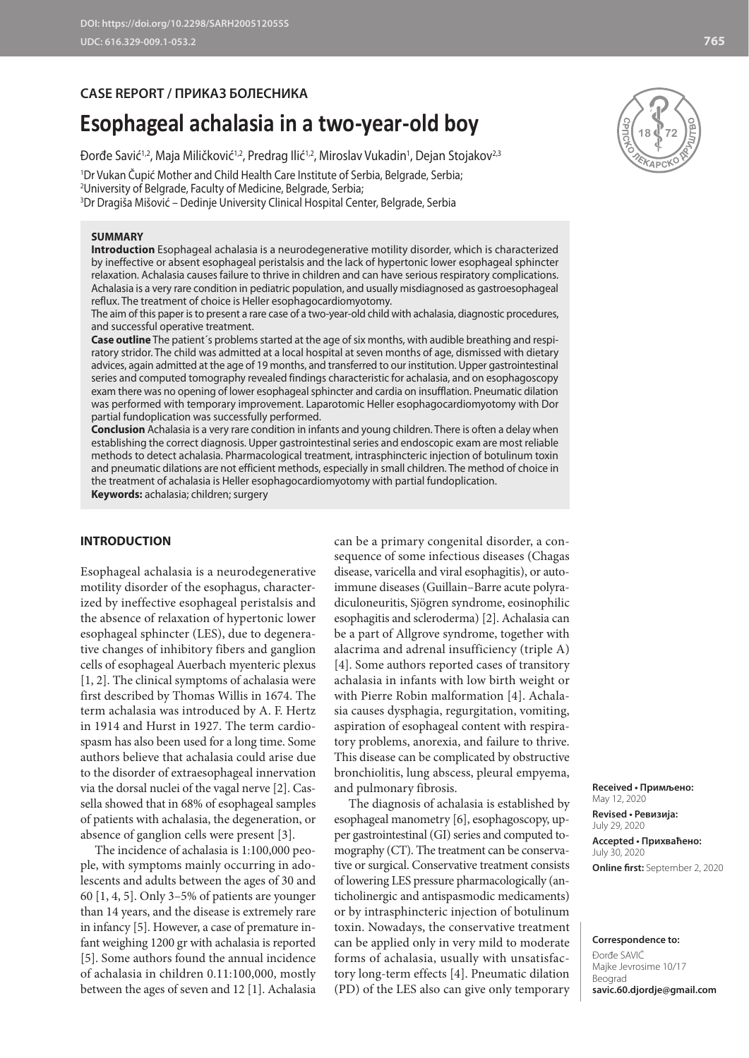# **CASE REPORT / ПРИКАЗ БОЛЕСНИКА**

# **Esophageal achalasia in a two-year-old boy**

Đorđe Savić<sup>1,2</sup>, Maja Miličković<sup>1,2</sup>, Predrag Ilić<sup>1,2</sup>, Miroslav Vukadin<sup>1</sup>, Dejan Stojakov<sup>2,3</sup>

1 Dr Vukan Čupić Mother and Child Health Care Institute of Serbia, Belgrade, Serbia; 2 University of Belgrade, Faculty of Medicine, Belgrade, Serbia;

3 Dr Dragiša Mišović – Dedinje University Clinical Hospital Center, Belgrade, Serbia

#### **SUMMARY**

**Introduction** Esophageal achalasia is a neurodegenerative motility disorder, which is characterized by ineffective or absent esophageal peristalsis and the lack of hypertonic lower esophageal sphincter relaxation. Achalasia causes failure to thrive in children and can have serious respiratory complications. Achalasia is a very rare condition in pediatric population, and usually misdiagnosed as gastroesophageal reflux. The treatment of choice is Heller esophagocardiomyotomy.

The aim of this paper is to present a rare case of a two-year-old child with achalasia, diagnostic procedures, and successful operative treatment.

**Case outline** The patient´s problems started at the age of six months, with audible breathing and respiratory stridor. The child was admitted at a local hospital at seven months of age, dismissed with dietary advices, again admitted at the age of 19 months, and transferred to our institution. Upper gastrointestinal series and computed tomography revealed findings characteristic for achalasia, and on esophagoscopy exam there was no opening of lower esophageal sphincter and cardia on insufflation. Pneumatic dilation was performed with temporary improvement. Laparotomic Heller esophagocardiomyotomy with Dor partial fundoplication was successfully performed.

**Conclusion** Achalasia is a very rare condition in infants and young children. There is often a delay when establishing the correct diagnosis. Upper gastrointestinal series and endoscopic exam are most reliable methods to detect achalasia. Pharmacological treatment, intrasphincteric injection of botulinum toxin and pneumatic dilations are not efficient methods, especially in small children. The method of choice in the treatment of achalasia is Heller esophagocardiomyotomy with partial fundoplication.

**Keywords:** achalasia; children; surgery

## **INTRODUCTION**

Esophageal achalasia is a neurodegenerative motility disorder of the esophagus, characterized by ineffective esophageal peristalsis and the absence of relaxation of hypertonic lower esophageal sphincter (LES), due to degenerative changes of inhibitory fibers and ganglion cells of esophageal Auerbach myenteric plexus [1, 2]. The clinical symptoms of achalasia were first described by Thomas Willis in 1674. The term achalasia was introduced by A. F. Hertz in 1914 and Hurst in 1927. The term cardiospasm has also been used for a long time. Some authors believe that achalasia could arise due to the disorder of extraesophageal innervation via the dorsal nuclei of the vagal nerve [2]. Cassella showed that in 68% of esophageal samples of patients with achalasia, the degeneration, or absence of ganglion cells were present [3].

The incidence of achalasia is 1:100,000 people, with symptoms mainly occurring in adolescents and adults between the ages of 30 and 60 [1, 4, 5]. Only 3–5% of patients are younger than 14 years, and the disease is extremely rare in infancy [5]. However, a case of premature infant weighing 1200 gr with achalasia is reported [5]. Some authors found the annual incidence of achalasia in children 0.11:100,000, mostly between the ages of seven and 12 [1]. Achalasia

can be a primary congenital disorder, a consequence of some infectious diseases (Chagas disease, varicella and viral esophagitis), or autoimmune diseases (Guillain–Barre acute polyradiculoneuritis, Sjögren syndrome, eosinophilic esophagitis and scleroderma) [2]. Achalasia can be a part of Allgrove syndrome, together with alacrima and adrenal insufficiency (triple A) [4]. Some authors reported cases of transitory achalasia in infants with low birth weight or with Pierre Robin malformation [4]. Achalasia causes dysphagia, regurgitation, vomiting, aspiration of esophageal content with respiratory problems, anorexia, and failure to thrive. This disease can be complicated by obstructive bronchiolitis, lung abscess, pleural empyema, and pulmonary fibrosis.

The diagnosis of achalasia is established by esophageal manometry [6], esophagoscopy, upper gastrointestinal (GI) series and computed tomography (CT). The treatment can be conservative or surgical. Conservative treatment consists of lowering LES pressure pharmacologically (anticholinergic and antispasmodic medicaments) or by intrasphincteric injection of botulinum toxin. Nowadays, the conservative treatment can be applied only in very mild to moderate forms of achalasia, usually with unsatisfactory long-term effects [4]. Pneumatic dilation (PD) of the LES also can give only temporary



**Received • Примљено:**  May 12, 2020 **Revised • Ревизија:**  July 29, 2020 **Accepted • Прихваћено:** July 30, 2020 **Online first:** September 2, 2020

**Correspondence to:** Đorđe SAVIĆ Majke Jevrosime 10/17 Beograd **savic.60.djordje@gmail.com**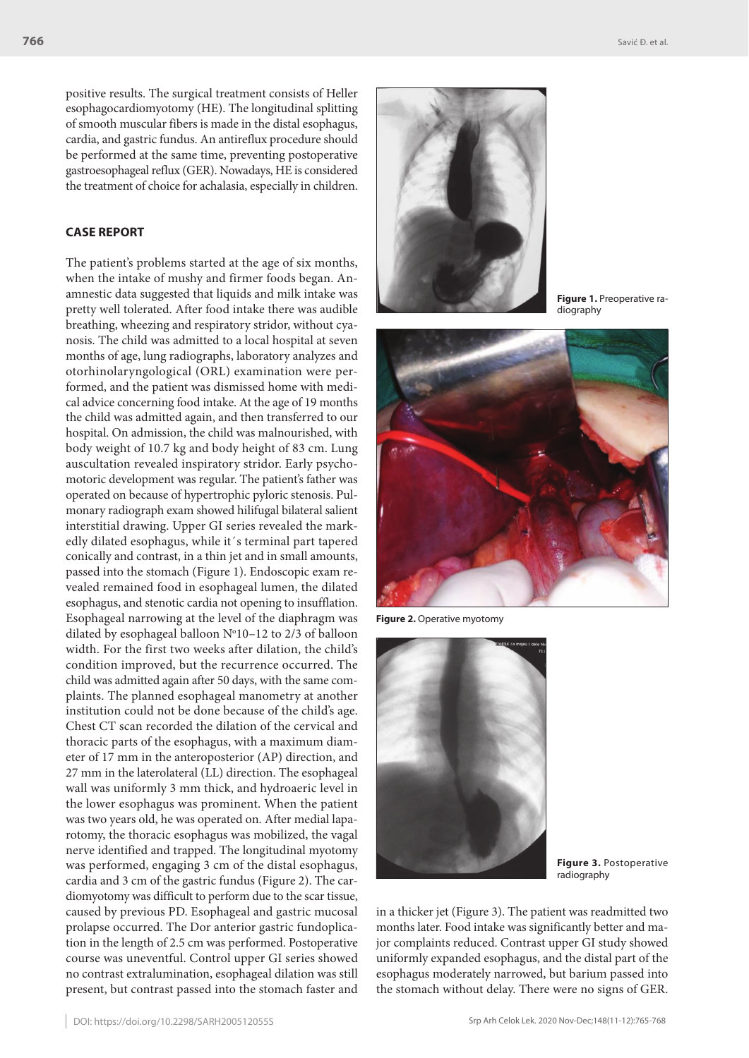positive results. The surgical treatment consists of Heller esophagocardiomyotomy (HE). The longitudinal splitting of smooth muscular fibers is made in the distal esophagus, cardia, and gastric fundus. An antireflux procedure should be performed at the same time, preventing postoperative gastroesophageal reflux (GER). Nowadays, HE is considered the treatment of choice for achalasia, especially in children.

## **CASE REPORT**

The patient's problems started at the age of six months, when the intake of mushy and firmer foods began. Anamnestic data suggested that liquids and milk intake was pretty well tolerated. After food intake there was audible breathing, wheezing and respiratory stridor, without cyanosis. The child was admitted to a local hospital at seven months of age, lung radiographs, laboratory analyzes and otorhinolaryngological (ORL) examination were performed, and the patient was dismissed home with medical advice concerning food intake. At the age of 19 months the child was admitted again, and then transferred to our hospital. On admission, the child was malnourished, with body weight of 10.7 kg and body height of 83 cm. Lung auscultation revealed inspiratory stridor. Early psychomotoric development was regular. The patient's father was operated on because of hypertrophic pyloric stenosis. Pulmonary radiograph exam showed hilifugal bilateral salient interstitial drawing. Upper GI series revealed the markedly dilated esophagus, while it´s terminal part tapered conically and contrast, in a thin jet and in small amounts, passed into the stomach (Figure 1). Endoscopic exam revealed remained food in esophageal lumen, the dilated esophagus, and stenotic cardia not opening to insufflation. Esophageal narrowing at the level of the diaphragm was dilated by esophageal balloon  $N^{\circ}10-12$  to 2/3 of balloon width. For the first two weeks after dilation, the child's condition improved, but the recurrence occurred. The child was admitted again after 50 days, with the same complaints. The planned esophageal manometry at another institution could not be done because of the child's age. Chest CT scan recorded the dilation of the cervical and thoracic parts of the esophagus, with a maximum diameter of 17 mm in the anteroposterior (AP) direction, and 27 mm in the laterolateral (LL) direction. The esophageal wall was uniformly 3 mm thick, and hydroaeric level in the lower esophagus was prominent. When the patient was two years old, he was operated on. After medial laparotomy, the thoracic esophagus was mobilized, the vagal nerve identified and trapped. The longitudinal myotomy was performed, engaging 3 cm of the distal esophagus, cardia and 3 cm of the gastric fundus (Figure 2). The cardiomyotomy was difficult to perform due to the scar tissue, caused by previous PD. Esophageal and gastric mucosal prolapse occurred. The Dor anterior gastric fundoplication in the length of 2.5 cm was performed. Postoperative course was uneventful. Control upper GI series showed no contrast extralumination, esophageal dilation was still present, but contrast passed into the stomach faster and



**Figure 1.** Preoperative radiography



**Figure 2.** Operative myotomy



**Figure 3.** Postoperative radiography

in a thicker jet (Figure 3). The patient was readmitted two months later. Food intake was significantly better and major complaints reduced. Contrast upper GI study showed uniformly expanded esophagus, and the distal part of the esophagus moderately narrowed, but barium passed into the stomach without delay. There were no signs of GER.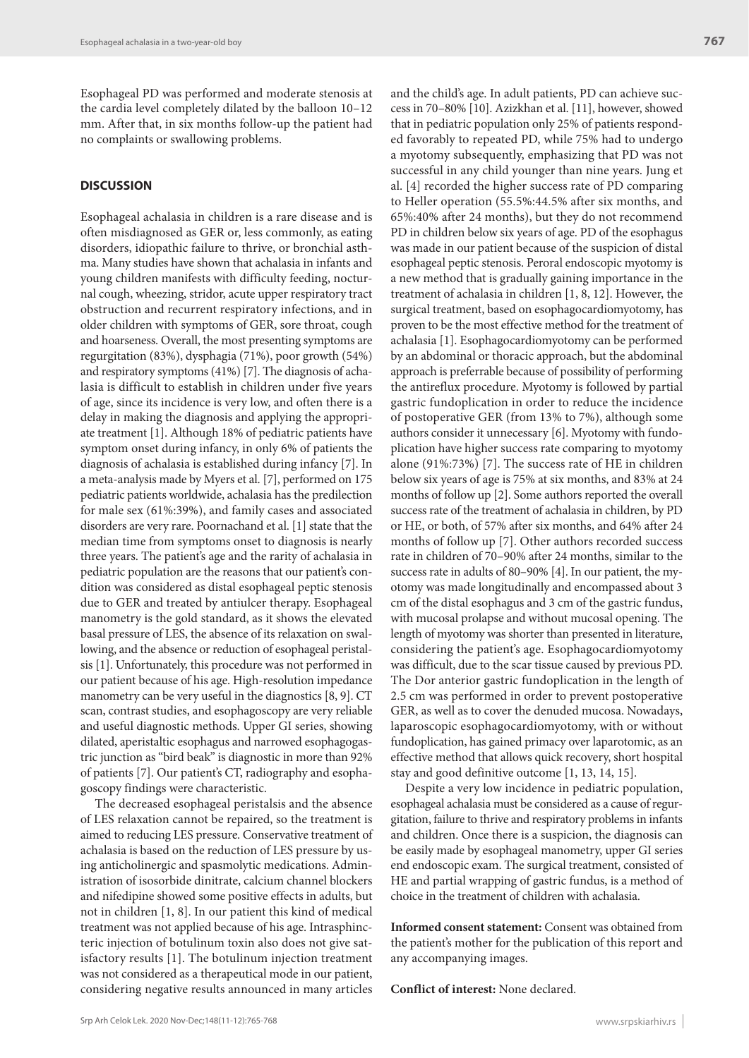Esophageal PD was performed and moderate stenosis at the cardia level completely dilated by the balloon 10–12 mm. After that, in six months follow-up the patient had no complaints or swallowing problems.

### **DISCUSSION**

Esophageal achalasia in children is a rare disease and is often misdiagnosed as GER or, less commonly, as eating disorders, idiopathic failure to thrive, or bronchial asthma. Many studies have shown that achalasia in infants and young children manifests with difficulty feeding, nocturnal cough, wheezing, stridor, acute upper respiratory tract obstruction and recurrent respiratory infections, and in older children with symptoms of GER, sore throat, cough and hoarseness. Overall, the most presenting symptoms are regurgitation (83%), dysphagia (71%), poor growth (54%) and respiratory symptoms (41%) [7]. The diagnosis of achalasia is difficult to establish in children under five years of age, since its incidence is very low, and often there is a delay in making the diagnosis and applying the appropriate treatment [1]. Although 18% of pediatric patients have symptom onset during infancy, in only 6% of patients the diagnosis of achalasia is established during infancy [7]. In a meta-analysis made by Myers et al. [7], performed on 175 pediatric patients worldwide, achalasia has the predilection for male sex (61%:39%), and family cases and associated disorders are very rare. Poornachand et al. [1] state that the median time from symptoms onset to diagnosis is nearly three years. The patient's age and the rarity of achalasia in pediatric population are the reasons that our patient's condition was considered as distal esophageal peptic stenosis due to GER and treated by antiulcer therapy. Esophageal manometry is the gold standard, as it shows the elevated basal pressure of LES, the absence of its relaxation on swallowing, and the absence or reduction of esophageal peristalsis [1]. Unfortunately, this procedure was not performed in our patient because of his age. High-resolution impedance manometry can be very useful in the diagnostics [8, 9]. CT scan, contrast studies, and esophagoscopy are very reliable and useful diagnostic methods. Upper GI series, showing dilated, aperistaltic esophagus and narrowed esophagogastric junction as "bird beak" is diagnostic in more than 92% of patients [7]. Our patient's CT, radiography and esophagoscopy findings were characteristic.

The decreased esophageal peristalsis and the absence of LES relaxation cannot be repaired, so the treatment is aimed to reducing LES pressure. Conservative treatment of achalasia is based on the reduction of LES pressure by using anticholinergic and spasmolytic medications. Administration of isosorbide dinitrate, calcium channel blockers and nifedipine showed some positive effects in adults, but not in children [1, 8]. In our patient this kind of medical treatment was not applied because of his age. Intrasphincteric injection of botulinum toxin also does not give satisfactory results [1]. The botulinum injection treatment was not considered as a therapeutical mode in our patient, considering negative results announced in many articles and the child's age. In adult patients, PD can achieve success in 70–80% [10]. Azizkhan et al. [11], however, showed that in pediatric population only 25% of patients responded favorably to repeated PD, while 75% had to undergo a myotomy subsequently, emphasizing that PD was not successful in any child younger than nine years. Jung et al. [4] recorded the higher success rate of PD comparing to Heller operation (55.5%:44.5% after six months, and 65%:40% after 24 months), but they do not recommend PD in children below six years of age. PD of the esophagus was made in our patient because of the suspicion of distal esophageal peptic stenosis. Peroral endoscopic myotomy is a new method that is gradually gaining importance in the treatment of achalasia in children [1, 8, 12]. However, the surgical treatment, based on esophagocardiomyotomy, has proven to be the most effective method for the treatment of achalasia [1]. Esophagocardiomyotomy can be performed by an abdominal or thoracic approach, but the abdominal approach is preferrable because of possibility of performing the antireflux procedure. Myotomy is followed by partial gastric fundoplication in order to reduce the incidence of postoperative GER (from 13% to 7%), although some authors consider it unnecessary [6]. Myotomy with fundoplication have higher success rate comparing to myotomy alone (91%:73%) [7]. The success rate of HE in children below six years of age is 75% at six months, and 83% at 24 months of follow up [2]. Some authors reported the overall success rate of the treatment of achalasia in children, by PD or HE, or both, of 57% after six months, and 64% after 24 months of follow up [7]. Other authors recorded success rate in children of 70–90% after 24 months, similar to the success rate in adults of 80–90% [4]. In our patient, the myotomy was made longitudinally and encompassed about 3 cm of the distal esophagus and 3 cm of the gastric fundus, with mucosal prolapse and without mucosal opening. The length of myotomy was shorter than presented in literature, considering the patient's age. Esophagocardiomyotomy was difficult, due to the scar tissue caused by previous PD. The Dor anterior gastric fundoplication in the length of 2.5 cm was performed in order to prevent postoperative GER, as well as to cover the denuded mucosa. Nowadays, laparoscopic esophagocardiomyotomy, with or without fundoplication, has gained primacy over laparotomic, as an effective method that allows quick recovery, short hospital stay and good definitive outcome [1, 13, 14, 15].

Despite a very low incidence in pediatric population, esophageal achalasia must be considered as a cause of regurgitation, failure to thrive and respiratory problems in infants and children. Once there is a suspicion, the diagnosis can be easily made by esophageal manometry, upper GI series end endoscopic exam. The surgical treatment, consisted of HE and partial wrapping of gastric fundus, is a method of choice in the treatment of children with achalasia.

**Informed consent statement:** Consent was obtained from the patient's mother for the publication of this report and any accompanying images.

**Conflict of interest:** None declared.